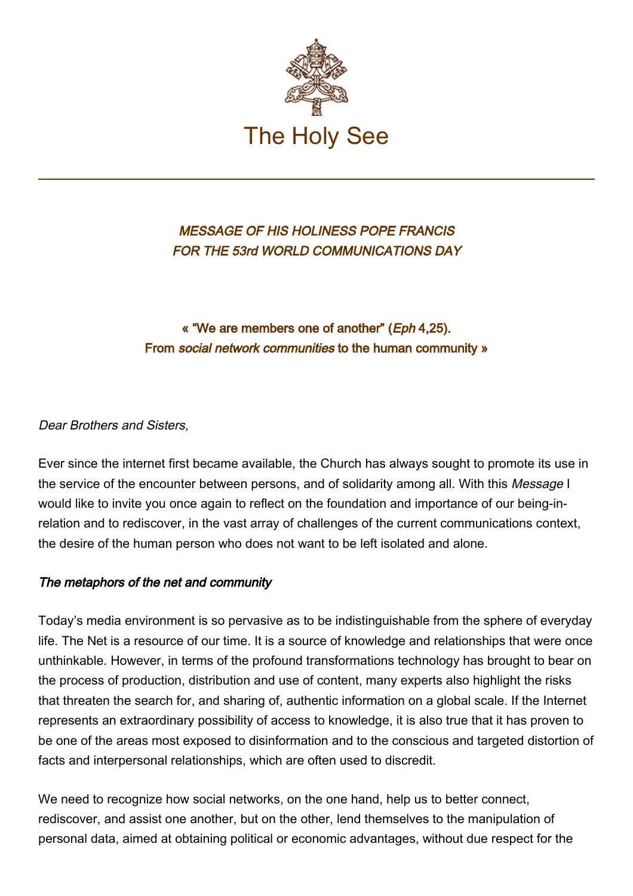

MESSAGE OF HIS HOLINESS POPE FRANCIS FOR THE 53rd WORLD COMMUNICATIONS DAY

# « "We are members one of another" (Eph 4,25). From social network communities to the human community »

### Dear Brothers and Sisters.

Ever since the internet first became available, the Church has always sought to promote its use in the service of the encounter between persons, and of solidarity among all. With this Message I would like to invite you once again to reflect on the foundation and importance of our being-inrelation and to rediscover, in the vast array of challenges of the current communications context, the desire of the human person who does not want to be left isolated and alone.

### The metaphors of the net and community

Today's media environment is so pervasive as to be indistinguishable from the sphere of everyday life. The Net is a resource of our time. It is a source of knowledge and relationships that were once unthinkable. However, in terms of the profound transformations technology has brought to bear on the process of production, distribution and use of content, many experts also highlight the risks that threaten the search for, and sharing of, authentic information on a global scale. If the Internet represents an extraordinary possibility of access to knowledge, it is also true that it has proven to be one of the areas most exposed to disinformation and to the conscious and targeted distortion of facts and interpersonal relationships, which are often used to discredit.

We need to recognize how social networks, on the one hand, help us to better connect, rediscover, and assist one another, but on the other, lend themselves to the manipulation of personal data, aimed at obtaining political or economic advantages, without due respect for the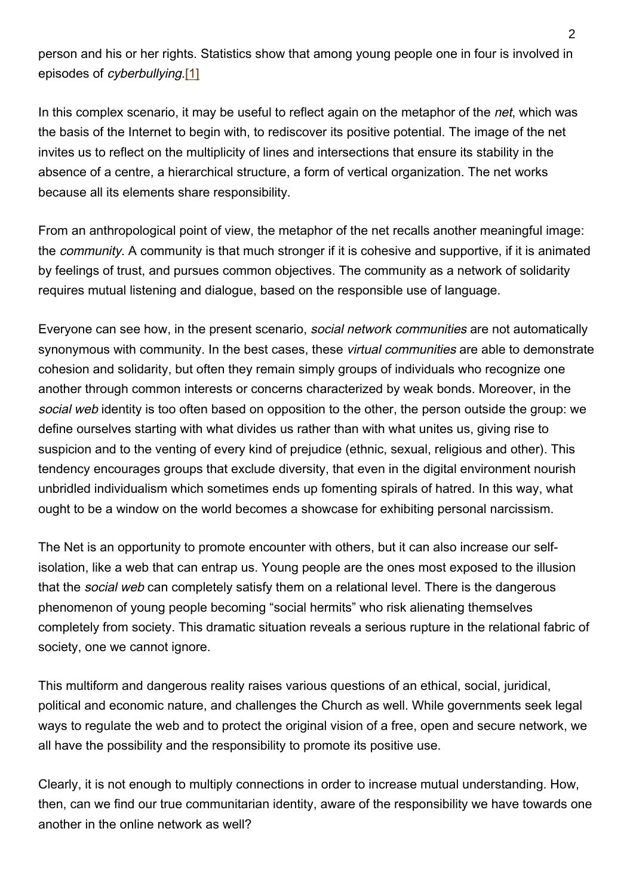person and his or her rights. Statistics show that among young people one in four is involved in episodes of cyberbullying.[1]

In this complex scenario, it may be useful to reflect again on the metaphor of the *net*, which was the basis of the Internet to begin with, to rediscover its positive potential. The image of the net invites us to reflect on the multiplicity of lines and intersections that ensure its stability in the absence of a centre, a hierarchical structure, a form of vertical organization. The net works because all its elements share responsibility.

From an anthropological point of view, the metaphor of the net recalls another meaningful image: the community. A community is that much stronger if it is cohesive and supportive, if it is animated by feelings of trust, and pursues common objectives. The community as a network of solidarity requires mutual listening and dialogue, based on the responsible use of language.

Everyone can see how, in the present scenario, social network communities are not automatically synonymous with community. In the best cases, these *virtual communities* are able to demonstrate cohesion and solidarity, but often they remain simply groups of individuals who recognize one another through common interests or concerns characterized by weak bonds. Moreover, in the social web identity is too often based on opposition to the other, the person outside the group: we define ourselves starting with what divides us rather than with what unites us, giving rise to suspicion and to the venting of every kind of prejudice (ethnic, sexual, religious and other). This tendency encourages groups that exclude diversity, that even in the digital environment nourish unbridled individualism which sometimes ends up fomenting spirals of hatred. In this way, what ought to be a window on the world becomes a showcase for exhibiting personal narcissism.

The Net is an opportunity to promote encounter with others, but it can also increase our selfisolation, like a web that can entrap us. Young people are the ones most exposed to the illusion that the social web can completely satisfy them on a relational level. There is the dangerous phenomenon of young people becoming "social hermits" who risk alienating themselves completely from society. This dramatic situation reveals a serious rupture in the relational fabric of society, one we cannot ignore.

This multiform and dangerous reality raises various questions of an ethical, social, juridical, political and economic nature, and challenges the Church as well. While governments seek legal ways to regulate the web and to protect the original vision of a free, open and secure network, we all have the possibility and the responsibility to promote its positive use.

Clearly, it is not enough to multiply connections in order to increase mutual understanding. How, then, can we find our true communitarian identity, aware of the responsibility we have towards one another in the online network as well?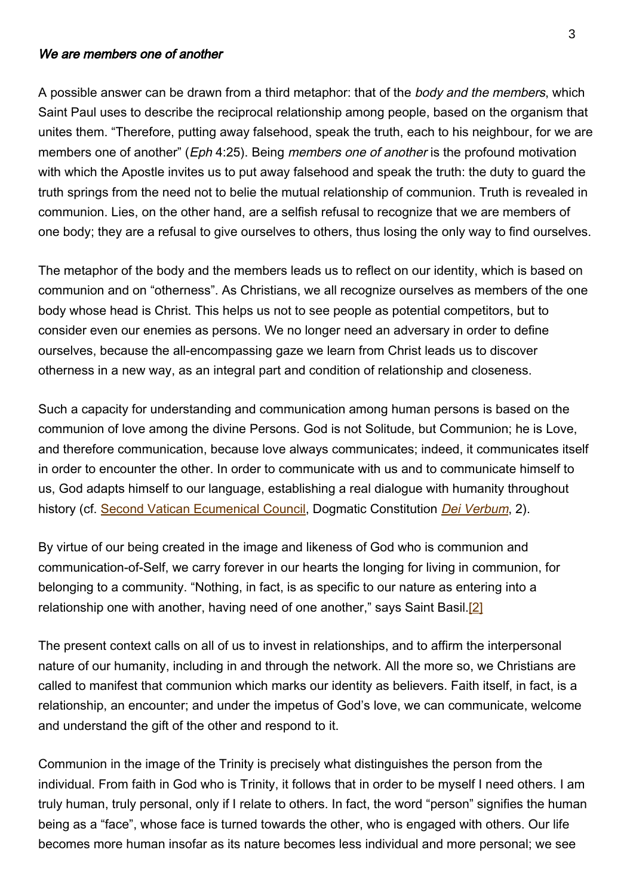#### We are members one of another

A possible answer can be drawn from a third metaphor: that of the *body and the members*, which Saint Paul uses to describe the reciprocal relationship among people, based on the organism that unites them. "Therefore, putting away falsehood, speak the truth, each to his neighbour, for we are members one of another" (*Eph* 4:25). Being *members one of another* is the profound motivation with which the Apostle invites us to put away falsehood and speak the truth: the duty to guard the truth springs from the need not to belie the mutual relationship of communion. Truth is revealed in communion. Lies, on the other hand, are a selfish refusal to recognize that we are members of one body; they are a refusal to give ourselves to others, thus losing the only way to find ourselves.

The metaphor of the body and the members leads us to reflect on our identity, which is based on communion and on "otherness". As Christians, we all recognize ourselves as members of the one body whose head is Christ. This helps us not to see people as potential competitors, but to consider even our enemies as persons. We no longer need an adversary in order to define ourselves, because the all-encompassing gaze we learn from Christ leads us to discover otherness in a new way, as an integral part and condition of relationship and closeness.

Such a capacity for understanding and communication among human persons is based on the communion of love among the divine Persons. God is not Solitude, but Communion; he is Love, and therefore communication, because love always communicates; indeed, it communicates itself in order to encounter the other. In order to communicate with us and to communicate himself to us, God adapts himself to our language, establishing a real dialogue with humanity throughout history (cf. [Second Vatican Ecumenical Council](http://www.vatican.va/archive/hist_councils/ii_vatican_council/index.htm), Dogmatic Constitution *[Dei Verbum](http://www.vatican.va/archive/hist_councils/ii_vatican_council/documents/vat-ii_const_19651118_dei-verbum_en.html).* 2).

By virtue of our being created in the image and likeness of God who is communion and communication-of-Self, we carry forever in our hearts the longing for living in communion, for belonging to a community. "Nothing, in fact, is as specific to our nature as entering into a relationship one with another, having need of one another," says Saint Basil.<sup>[2]</sup>

The present context calls on all of us to invest in relationships, and to affirm the interpersonal nature of our humanity, including in and through the network. All the more so, we Christians are called to manifest that communion which marks our identity as believers. Faith itself, in fact, is a relationship, an encounter; and under the impetus of God's love, we can communicate, welcome and understand the gift of the other and respond to it.

Communion in the image of the Trinity is precisely what distinguishes the person from the individual. From faith in God who is Trinity, it follows that in order to be myself I need others. I am truly human, truly personal, only if I relate to others. In fact, the word "person" signifies the human being as a "face", whose face is turned towards the other, who is engaged with others. Our life becomes more human insofar as its nature becomes less individual and more personal; we see